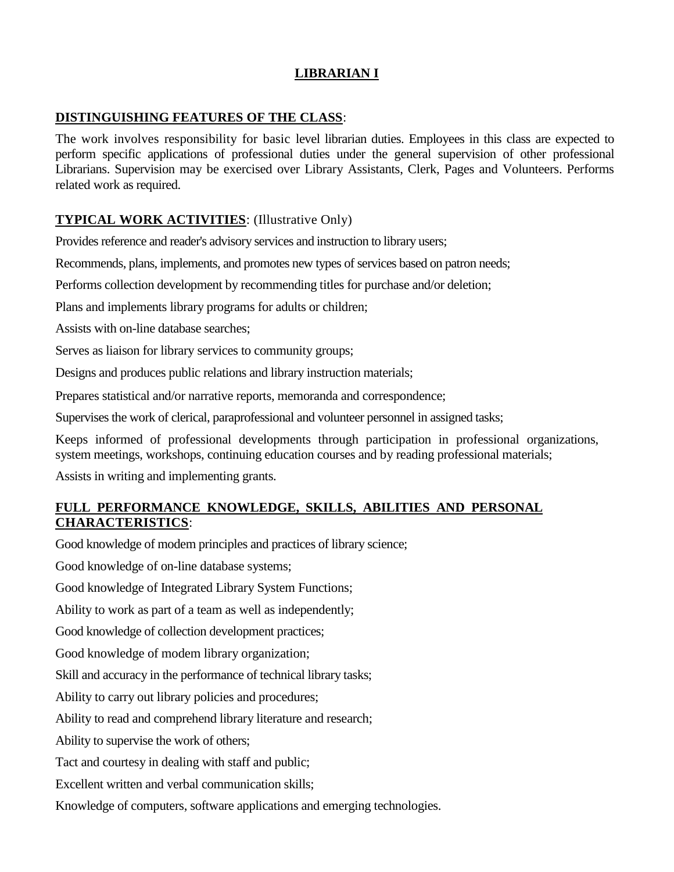## **LIBRARIAN I**

### **DISTINGUISHING FEATURES OF THE CLASS**:

The work involves responsibility for basic level librarian duties. Employees in this class are expected to perform specific applications of professional duties under the general supervision of other professional Librarians. Supervision may be exercised over Library Assistants, Clerk, Pages and Volunteers. Performs related work as required.

# **TYPICAL WORK ACTIVITIES**: (Illustrative Only)

Provides reference and reader's advisory services and instruction to library users;

Recommends, plans, implements, and promotes new types of services based on patron needs;

Performs collection development by recommending titles for purchase and/or deletion;

Plans and implements library programs for adults or children;

Assists with on-line database searches;

Serves as liaison for library services to community groups;

Designs and produces public relations and library instruction materials;

Prepares statistical and/or narrative reports, memoranda and correspondence;

Supervises the work of clerical, paraprofessional and volunteer personnel in assigned tasks;

Keeps informed of professional developments through participation in professional organizations, system meetings, workshops, continuing education courses and by reading professional materials;

Assists in writing and implementing grants.

## **FULL PERFORMANCE KNOWLEDGE, SKILLS, ABILITIES AND PERSONAL CHARACTERISTICS**:

Good knowledge of modem principles and practices of library science;

Good knowledge of on-line database systems;

Good knowledge of Integrated Library System Functions;

Ability to work as part of a team as well as independently;

Good knowledge of collection development practices;

Good knowledge of modem library organization;

Skill and accuracy in the performance of technical library tasks;

Ability to carry out library policies and procedures;

Ability to read and comprehend library literature and research;

Ability to supervise the work of others;

Tact and courtesy in dealing with staff and public;

Excellent written and verbal communication skills;

Knowledge of computers, software applications and emerging technologies.